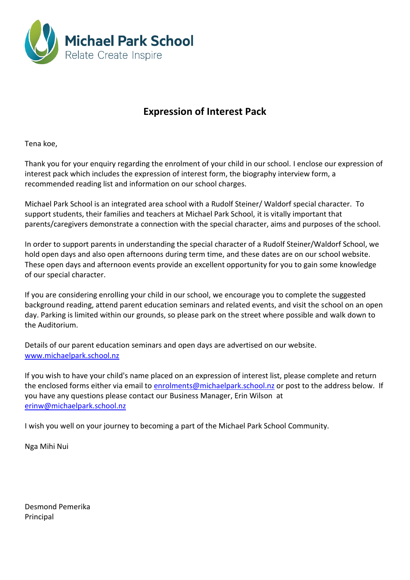

## **Expression of Interest Pack**

Tena koe,

Thank you for your enquiry regarding the enrolment of your child in our school. I enclose our expression of interest pack which includes the expression of interest form, the biography interview form, a recommended reading list and information on our school charges.

Michael Park School is an integrated area school with a Rudolf Steiner/ Waldorf special character. To support students, their families and teachers at Michael Park School, it is vitally important that parents/caregivers demonstrate a connection with the special character, aims and purposes of the school.

In order to support parents in understanding the special character of a Rudolf Steiner/Waldorf School, we hold open days and also open afternoons during term time, and these dates are on our school website. These open days and afternoon events provide an excellent opportunity for you to gain some knowledge of our special character.

If you are considering enrolling your child in our school, we encourage you to complete the suggested background reading, attend parent education seminars and related events, and visit the school on an open day. Parking is limited within our grounds, so please park on the street where possible and walk down to the Auditorium.

Details of our parent education seminars and open days are advertised on our website. [www.michaelpark.school.nz](http://www.michaelpark.school.nz/)

If you wish to have your child's name placed on an expression of interest list, please complete and return the enclosed forms either via email to [enrolments@michaelpark.school.nz](mailto:enrolments@michaelpark.school.nz) or post to the address below. If you have any questions please contact our Business Manager, Erin Wilson at [erinw@michaelpark.school.nz](mailto:erinw@michaelpark.school.nz)

I wish you well on your journey to becoming a part of the Michael Park School Community.

Nga Mihi Nui

Desmond Pemerika Principal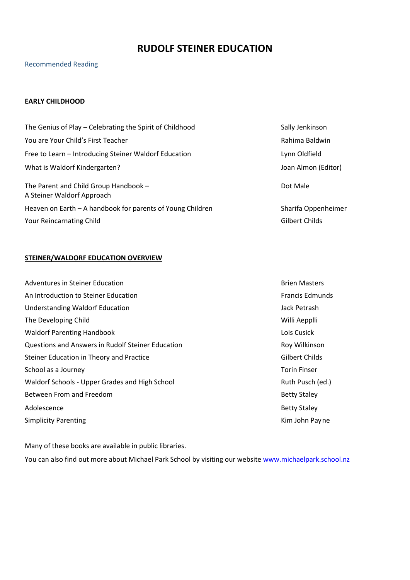### **RUDOLF STEINER EDUCATION**

#### Recommended Reading

#### **EARLY CHILDHOOD**

| The Genius of Play - Celebrating the Spirit of Childhood            | Sally Jenkinson     |
|---------------------------------------------------------------------|---------------------|
| You are Your Child's First Teacher                                  | Rahima Baldwin      |
| Free to Learn - Introducing Steiner Waldorf Education               | Lynn Oldfield       |
| What is Waldorf Kindergarten?                                       | Joan Almon (Editor) |
| The Parent and Child Group Handbook -<br>A Steiner Waldorf Approach | Dot Male            |
| Heaven on Earth – A handbook for parents of Young Children          | Sharifa Oppenheimer |
|                                                                     |                     |

#### **STEINER/WALDORF EDUCATION OVERVIEW**

Adventures in Steiner Education and Brien Masters and Brien Masters and Brien Masters An Introduction to Steiner Education Francis Edmunds Understanding Waldorf Education **Jack Petrash** Jack Petrash The Developing Child Willi Aepplli Waldorf Parenting Handbook **Lois Cusick** Lois Cusick Questions and Answers in Rudolf Steiner Education **Roy American** Roy Wilkinson Steiner Education in Theory and Practice **Gilbert Childs** Gilbert Childs School as a Journey Torin Finser Waldorf Schools - Upper Grades and High School Ruth Pusch (ed.) Between From and Freedom Between From and Freedom Adolescence **Betty Staley** Simplicity Parenting Theorem 2012 Simplicity Parenting Theorem 2013 Simplicity Parenting Theorem 2013

Many of these books are available in public libraries.

You can also find out more about Michael Park School by visiting our website [www.michaelpark.school.nz](http://www.michaelpark.school.nz/)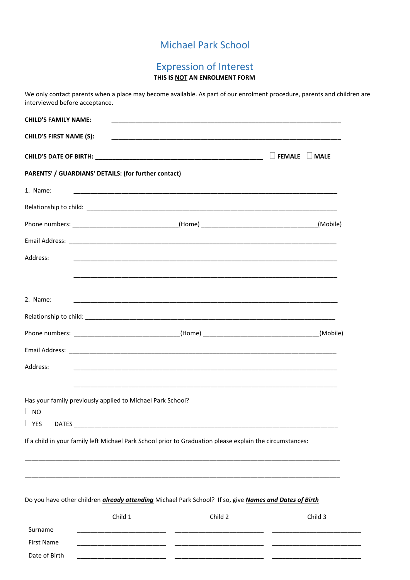## **Michael Park School**

# **Expression of Interest**

### THIS IS NOT AN ENROLMENT FORM

We only contact parents when a place may become available. As part of our enrolment procedure, parents and children are interviewed before acceptance.

| <b>CHILD'S FAMILY NAME:</b>    |                                                            | <u> 1989 - Johann Barn, mars ar breithinn ar breithinn ar breithinn ar breithinn ar breithinn ar breithinn ar br</u>            |               |             |
|--------------------------------|------------------------------------------------------------|---------------------------------------------------------------------------------------------------------------------------------|---------------|-------------|
| <b>CHILD'S FIRST NAME (S):</b> |                                                            | <u> 1989 - Johann Harry Harry Harry Harry Harry Harry Harry Harry Harry Harry Harry Harry Harry Harry Harry Harry</u>           |               |             |
|                                |                                                            |                                                                                                                                 | $\Box$ FEMALE | <b>MALE</b> |
|                                | PARENTS' / GUARDIANS' DETAILS: (for further contact)       |                                                                                                                                 |               |             |
| 1. Name:                       |                                                            |                                                                                                                                 |               |             |
|                                |                                                            |                                                                                                                                 |               |             |
|                                |                                                            |                                                                                                                                 |               |             |
|                                |                                                            |                                                                                                                                 |               |             |
| Address:                       |                                                            |                                                                                                                                 |               |             |
|                                |                                                            |                                                                                                                                 |               |             |
| 2. Name:                       |                                                            |                                                                                                                                 |               |             |
|                                |                                                            |                                                                                                                                 |               |             |
|                                |                                                            |                                                                                                                                 |               |             |
|                                |                                                            |                                                                                                                                 |               |             |
| Address:                       |                                                            |                                                                                                                                 |               |             |
|                                |                                                            |                                                                                                                                 |               |             |
| $\Box$ NO                      | Has your family previously applied to Michael Park School? |                                                                                                                                 |               |             |
| $\Box$ YES<br><b>DATES</b>     |                                                            |                                                                                                                                 |               |             |
|                                |                                                            | If a child in your family left Michael Park School prior to Graduation please explain the circumstances:                        |               |             |
|                                |                                                            |                                                                                                                                 |               |             |
|                                |                                                            |                                                                                                                                 |               |             |
|                                |                                                            |                                                                                                                                 |               |             |
|                                | Child 1                                                    | Do you have other children <i>already attending</i> Michael Park School? If so, give <i>Names and Dates of Birth</i><br>Child 2 |               | Child 3     |
| Surname                        |                                                            |                                                                                                                                 |               |             |
| <b>First Name</b>              |                                                            |                                                                                                                                 |               |             |
| Date of Birth                  |                                                            |                                                                                                                                 |               |             |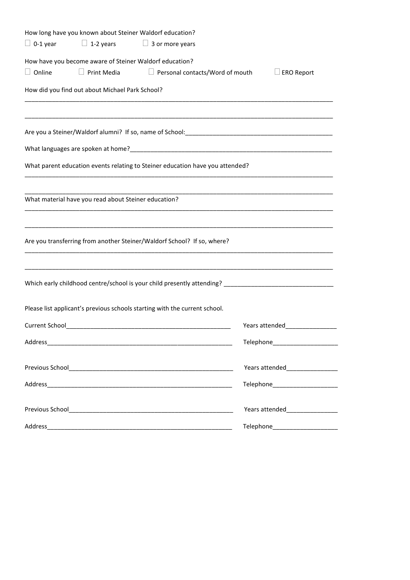|                 |                                                      | How long have you known about Steiner Waldorf education?                      |                                    |
|-----------------|------------------------------------------------------|-------------------------------------------------------------------------------|------------------------------------|
| $\Box$ 0-1 year |                                                      | $\Box$ 1-2 years $\Box$ 3 or more years                                       |                                    |
|                 |                                                      | How have you become aware of Steiner Waldorf education?                       |                                    |
| $\Box$ Online   | $\Box$ Print Media                                   | $\Box$ Personal contacts/Word of mouth                                        | $\Box$ ERO Report                  |
|                 | How did you find out about Michael Park School?      |                                                                               |                                    |
|                 |                                                      |                                                                               |                                    |
|                 |                                                      |                                                                               |                                    |
|                 |                                                      | What parent education events relating to Steiner education have you attended? |                                    |
|                 | What material have you read about Steiner education? |                                                                               |                                    |
|                 |                                                      | Are you transferring from another Steiner/Waldorf School? If so, where?       |                                    |
|                 |                                                      |                                                                               |                                    |
|                 |                                                      | Please list applicant's previous schools starting with the current school.    |                                    |
|                 |                                                      |                                                                               | Years attended________________     |
|                 |                                                      |                                                                               |                                    |
|                 |                                                      |                                                                               |                                    |
|                 |                                                      |                                                                               | Telephone_________________________ |
|                 |                                                      |                                                                               |                                    |
|                 |                                                      |                                                                               | Telephone________________________  |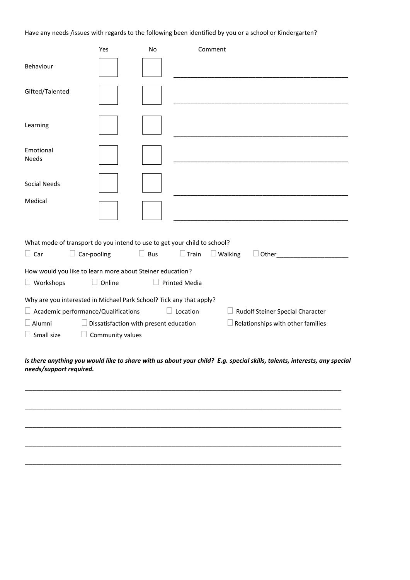Have any needs /issues with regards to the following been identified by you or a school or Kindergarten?

|                                                                     | Yes                                    | No                   | Comment                                                                                                                  |
|---------------------------------------------------------------------|----------------------------------------|----------------------|--------------------------------------------------------------------------------------------------------------------------|
| Behaviour                                                           |                                        |                      |                                                                                                                          |
| Gifted/Talented                                                     |                                        |                      |                                                                                                                          |
| Learning                                                            |                                        |                      |                                                                                                                          |
| Emotional<br><b>Needs</b>                                           |                                        |                      |                                                                                                                          |
| Social Needs                                                        |                                        |                      |                                                                                                                          |
| Medical                                                             |                                        |                      |                                                                                                                          |
|                                                                     |                                        |                      | What mode of transport do you intend to use to get your child to school?                                                 |
| $\Box$ Car<br>$\Box$                                                | Car-pooling                            | <b>Bus</b><br>$\Box$ | $\Box$ Walking<br>$\Box$ Train<br>$\Box$ Other                                                                           |
| How would you like to learn more about Steiner education?           |                                        |                      |                                                                                                                          |
| $\Box$ Workshops                                                    | Online                                 |                      | <b>Printed Media</b>                                                                                                     |
| Why are you interested in Michael Park School? Tick any that apply? |                                        |                      |                                                                                                                          |
| $\Box$ Academic performance/Qualifications                          |                                        |                      | $\Box$ Location<br>$\Box$ Rudolf Steiner Special Character                                                               |
| $\Box$ Alumni                                                       | Dissatisfaction with present education |                      | $\Box$ Relationships with other families                                                                                 |
| Small size                                                          | Community values                       |                      |                                                                                                                          |
| needs/support required.                                             |                                        |                      | Is there anything you would like to share with us about your child? E.g. special skills, talents, interests, any special |
|                                                                     |                                        |                      |                                                                                                                          |

\_\_\_\_\_\_\_\_\_\_\_\_\_\_\_\_\_\_\_\_\_\_\_\_\_\_\_\_\_\_\_\_\_\_\_\_\_\_\_\_\_\_\_\_\_\_\_\_\_\_\_\_\_\_\_\_\_\_\_\_\_\_\_\_\_\_\_\_\_\_\_\_\_\_\_\_\_\_\_\_\_\_\_\_ \_\_\_\_\_\_\_\_\_\_\_\_\_\_\_\_\_\_\_\_\_\_\_\_\_\_\_\_\_\_\_\_\_\_\_\_\_\_\_\_\_\_\_\_\_\_\_\_\_\_\_\_\_\_\_\_\_\_\_\_\_\_\_\_\_\_\_\_\_\_\_\_\_\_\_\_\_\_\_\_\_\_\_\_

\_\_\_\_\_\_\_\_\_\_\_\_\_\_\_\_\_\_\_\_\_\_\_\_\_\_\_\_\_\_\_\_\_\_\_\_\_\_\_\_\_\_\_\_\_\_\_\_\_\_\_\_\_\_\_\_\_\_\_\_\_\_\_\_\_\_\_\_\_\_\_\_\_\_\_\_\_\_\_\_\_\_\_\_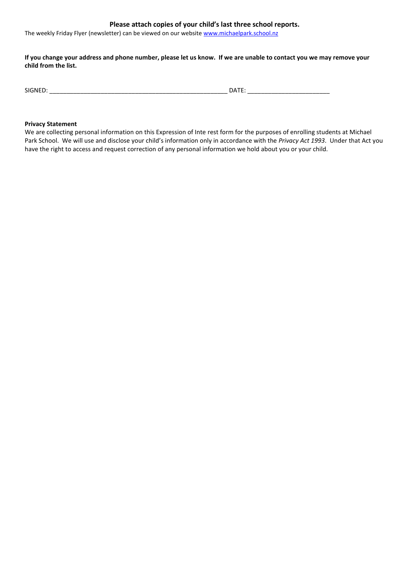#### **Please attach copies of your child's last three school reports.**

The weekly Friday Flyer (newsletter) can be viewed on our websit[e www.michaelpark.school.nz](http://www.michaelpark.school.nz/)

**If you change your address and phone number, please let us know. If we are unable to contact you we may remove your child from the list.**

| SIGNED. | --<br>٦Δ |
|---------|----------|
|---------|----------|

#### **Privacy Statement**

We are collecting personal information on this Expression of Inte rest form for the purposes of enrolling students at Michael Park School. We will use and disclose your child's information only in accordance with the *Privacy Act 1993*. Under that Act you have the right to access and request correction of any personal information we hold about you or your child.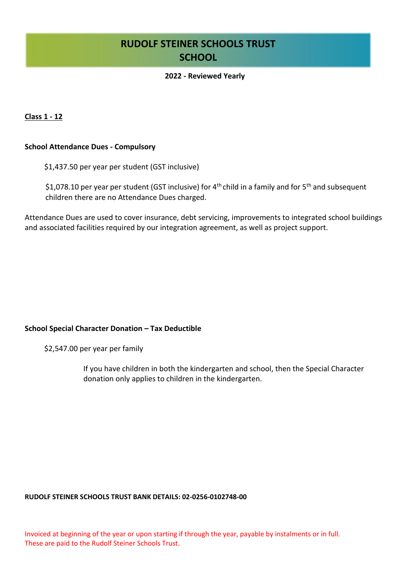## **RUDOLF STEINER SCHOOLS TRUST SCHOOL**

#### **2022 - Reviewed Yearly**

### **Class 1 - 12**

#### **School Attendance Dues - Compulsory**

\$1,437.50 per year per student (GST inclusive)

\$1,078.10 per year per student (GST inclusive) for 4<sup>th</sup> child in a family and for 5<sup>th</sup> and subsequent children there are no Attendance Dues charged.

Attendance Dues are used to cover insurance, debt servicing, improvements to integrated school buildings and associated facilities required by our integration agreement, as well as project support.

### **School Special Character Donation – Tax Deductible**

\$2,547.00 per year per family

If you have children in both the kindergarten and school, then the Special Character donation only applies to children in the kindergarten.

#### **RUDOLF STEINER SCHOOLS TRUST BANK DETAILS: 02-0256-0102748-00**

Invoiced at beginning of the year or upon starting if through the year, payable by instalments or in full. These are paid to the Rudolf Steiner Schools Trust.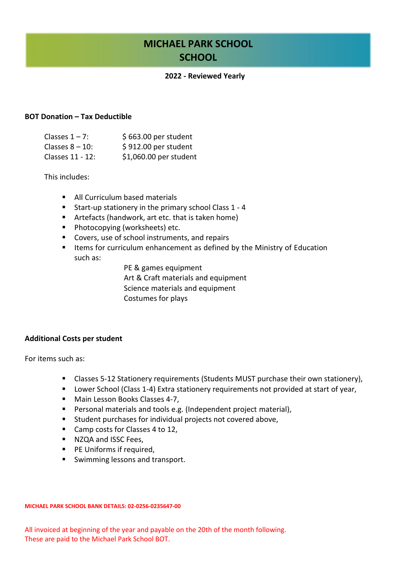## **MICHAEL PARK SCHOOL SCHOOL**

#### **2022 - Reviewed Yearly**

#### **BOT Donation – Tax Deductible**

| Classes $1 - 7$ :  | $$663.00$ per student  |
|--------------------|------------------------|
| Classes $8 - 10$ : | $$912.00$ per student  |
| Classes 11 - 12:   | \$1,060.00 per student |

This includes:

- All Curriculum based materials
- Start-up stationery in the primary school Class 1 4
- Artefacts (handwork, art etc. that is taken home)
- Photocopying (worksheets) etc.
- Covers, use of school instruments, and repairs
- Items for curriculum enhancement as defined by the Ministry of Education such as:

PE & games equipment Art & Craft materials and equipment Science materials and equipment Costumes for plays

### **Additional Costs per student**

For items such as:

- Classes 5-12 Stationery requirements (Students MUST purchase their own stationery),
- Lower School (Class 1-4) Extra stationery requirements not provided at start of year,
- Main Lesson Books Classes 4-7,
- Personal materials and tools e.g. (Independent project material),
- Student purchases for individual projects not covered above,
- Camp costs for Classes 4 to 12,
- NZQA and ISSC Fees,
- PE Uniforms if required,
- Swimming lessons and transport.

#### **MICHAEL PARK SCHOOL BANK DETAILS: 02-0256-0235647-00**

All invoiced at beginning of the year and payable on the 20th of the month following. These are paid to the Michael Park School BOT.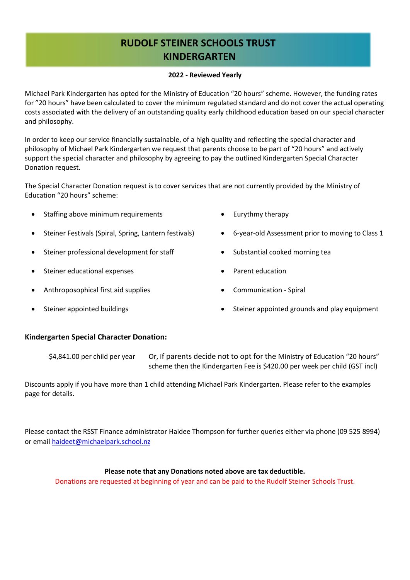## **RUDOLF STEINER SCHOOLS TRUST KINDERGARTEN**

#### **2022 - Reviewed Yearly**

Michael Park Kindergarten has opted for the Ministry of Education "20 hours" scheme. However, the funding rates for "20 hours" have been calculated to cover the minimum regulated standard and do not cover the actual operating costs associated with the delivery of an outstanding quality early childhood education based on our special character and philosophy.

In order to keep our service financially sustainable, of a high quality and reflecting the special character and philosophy of Michael Park Kindergarten we request that parents choose to be part of "20 hours" and actively support the special character and philosophy by agreeing to pay the outlined Kindergarten Special Character Donation request.

The Special Character Donation request is to cover services that are not currently provided by the Ministry of Education "20 hours" scheme:

- Staffing above minimum requirements **•** Eurythmy therapy
- 
- Steiner professional development for staff Substantial cooked morning tea
- Steiner educational expenses **•** Parent education
- Anthroposophical first aid supplies Communication Spiral
- 
- 
- Steiner Festivals (Spiral, Spring, Lantern festivals) 6-year-old Assessment prior to moving to Class 1
	-
	-
	-
	- Steiner appointed buildings Steiner appointed grounds and play equipment

#### **Kindergarten Special Character Donation:**

\$4,841.00 per child per year Or, if parents decide not to opt for the Ministry of Education "20 hours" scheme then the Kindergarten Fee is \$420.00 per week per child (GST incl)

Discounts apply if you have more than 1 child attending Michael Park Kindergarten. Please refer to the examples page for details.

Please contact the RSST Finance administrator Haidee Thompson for further queries either via phone (09 525 8994) or email [haideet@michaelpark.school.nz](mailto:haideet@michaelpark.school.nz)

#### **Please note that any Donations noted above are tax deductible.**

Donations are requested at beginning of year and can be paid to the Rudolf Steiner Schools Trust.